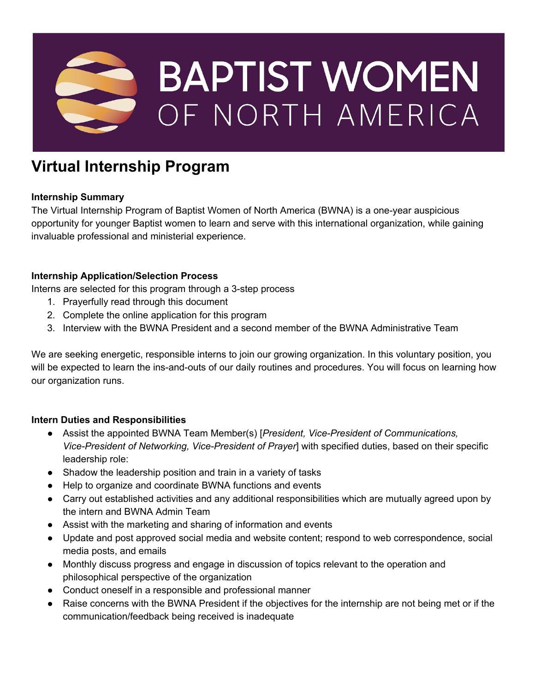

# **Virtual Internship Program**

## **Internship Summary**

The Virtual Internship Program of Baptist Women of North America (BWNA) is a one-year auspicious opportunity for younger Baptist women to learn and serve with this international organization, while gaining invaluable professional and ministerial experience.

## **Internship Application/Selection Process**

Interns are selected for this program through a 3-step process

- 1. Prayerfully read through this document
- 2. Complete the online application for this program
- 3. Interview with the BWNA President and a second member of the BWNA Administrative Team

We are seeking energetic, responsible interns to join our growing organization. In this voluntary position, you will be expected to learn the ins-and-outs of our daily routines and procedures. You will focus on learning how our organization runs.

#### **Intern Duties and Responsibilities**

- Assist the appointed BWNA Team Member(s) [*President, Vice-President of Communications, Vice-President of Networking, Vice-President of Prayer*] with specified duties, based on their specific leadership role:
- Shadow the leadership position and train in a variety of tasks
- Help to organize and coordinate BWNA functions and events
- Carry out established activities and any additional responsibilities which are mutually agreed upon by the intern and BWNA Admin Team
- Assist with the marketing and sharing of information and events
- Update and post approved social media and website content; respond to web correspondence, social media posts, and emails
- Monthly discuss progress and engage in discussion of topics relevant to the operation and philosophical perspective of the organization
- Conduct oneself in a responsible and professional manner
- Raise concerns with the BWNA President if the objectives for the internship are not being met or if the communication/feedback being received is inadequate